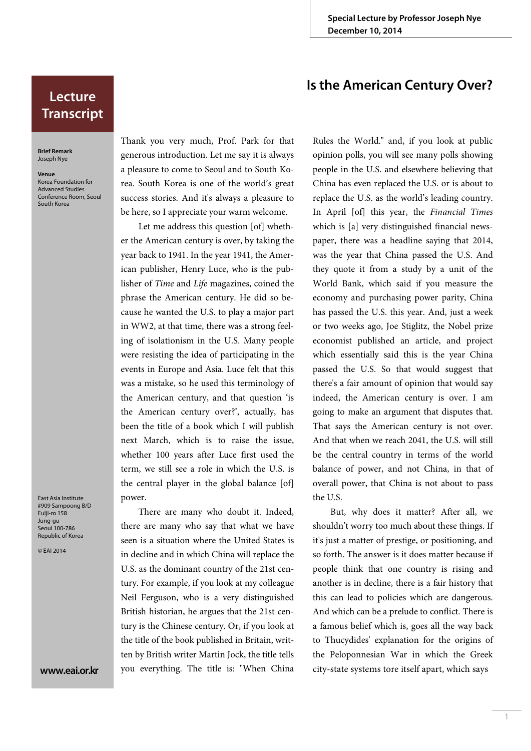**Special Lecture by Professor Joseph Nye December 10, 2014**

# **Is the American Century Over?**

# **Lecture Transcript**

**Brief Remark** Joseph Nye

**Venue**

Korea Foundation for Advanced Studies Conference Room, Seoul South Korea

East Asia Institute #909 Sampoong B/D Eulji-ro 158 Jung-gu Seoul 100-786 Republic of Korea

© EAI 2014

#### **www.eai.or.kr**

Thank you very much, Prof. Park for that generous introduction. Let me say it is always a pleasure to come to Seoul and to South Korea. South Korea is one of the world's great success stories. And it's always a pleasure to be here, so I appreciate your warm welcome.

Let me address this question [of] whether the American century is over, by taking the year back to 1941. In the year 1941, the American publisher, Henry Luce, who is the publisher of *Time* and *Life* magazines, coined the phrase the American century. He did so because he wanted the U.S. to play a major part in WW2, at that time, there was a strong feeling of isolationism in the U.S. Many people were resisting the idea of participating in the events in Europe and Asia. Luce felt that this was a mistake, so he used this terminology of the American century, and that question 'is the American century over?', actually, has been the title of a book which I will publish next March, which is to raise the issue, whether 100 years after Luce first used the term, we still see a role in which the U.S. is the central player in the global balance [of] power.

There are many who doubt it. Indeed, there are many who say that what we have seen is a situation where the United States is in decline and in which China will replace the U.S. as the dominant country of the 21st century. For example, if you look at my colleague Neil Ferguson, who is a very distinguished British historian, he argues that the 21st century is the Chinese century. Or, if you look at the title of the book published in Britain, written by British writer Martin Jock, the title tells you everything. The title is: "When China

Rules the World." and, if you look at public opinion polls, you will see many polls showing people in the U.S. and elsewhere believing that China has even replaced the U.S. or is about to replace the U.S. as the world's leading country. In April [of] this year, the *Financial Times* which is [a] very distinguished financial newspaper, there was a headline saying that 2014, was the year that China passed the U.S. And they quote it from a study by a unit of the World Bank, which said if you measure the economy and purchasing power parity, China has passed the U.S. this year. And, just a week or two weeks ago, Joe Stiglitz, the Nobel prize economist published an article, and project which essentially said this is the year China passed the U.S. So that would suggest that there's a fair amount of opinion that would say indeed, the American century is over. I am going to make an argument that disputes that. That says the American century is not over. And that when we reach 2041, the U.S. will still be the central country in terms of the world balance of power, and not China, in that of overall power, that China is not about to pass the U.S.

But, why does it matter? After all, we shouldn't worry too much about these things. If it's just a matter of prestige, or positioning, and so forth. The answer is it does matter because if people think that one country is rising and another is in decline, there is a fair history that this can lead to policies which are dangerous. And which can be a prelude to conflict. There is a famous belief which is, goes all the way back to Thucydides' explanation for the origins of the Peloponnesian War in which the Greek city-state systems tore itself apart, which says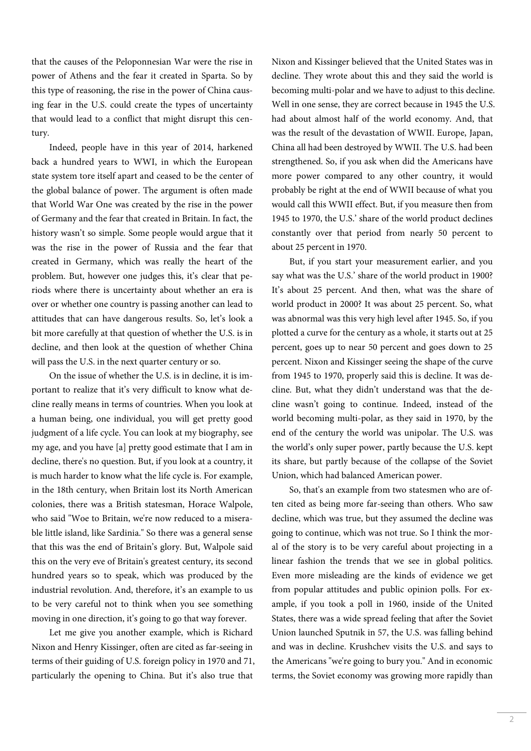that the causes of the Peloponnesian War were the rise in power of Athens and the fear it created in Sparta. So by this type of reasoning, the rise in the power of China causing fear in the U.S. could create the types of uncertainty that would lead to a conflict that might disrupt this century.

Indeed, people have in this year of 2014, harkened back a hundred years to WWI, in which the European state system tore itself apart and ceased to be the center of the global balance of power. The argument is often made that World War One was created by the rise in the power of Germany and the fear that created in Britain. In fact, the history wasn't so simple. Some people would argue that it was the rise in the power of Russia and the fear that created in Germany, which was really the heart of the problem. But, however one judges this, it's clear that periods where there is uncertainty about whether an era is over or whether one country is passing another can lead to attitudes that can have dangerous results. So, let's look a bit more carefully at that question of whether the U.S. is in decline, and then look at the question of whether China will pass the U.S. in the next quarter century or so.

On the issue of whether the U.S. is in decline, it is important to realize that it's very difficult to know what decline really means in terms of countries. When you look at a human being, one individual, you will get pretty good judgment of a life cycle. You can look at my biography, see my age, and you have [a] pretty good estimate that I am in decline, there's no question. But, if you look at a country, it is much harder to know what the life cycle is. For example, in the 18th century, when Britain lost its North American colonies, there was a British statesman, Horace Walpole, who said "Woe to Britain, we're now reduced to a miserable little island, like Sardinia." So there was a general sense that this was the end of Britain's glory. But, Walpole said this on the very eve of Britain's greatest century, its second hundred years so to speak, which was produced by the industrial revolution. And, therefore, it's an example to us to be very careful not to think when you see something moving in one direction, it's going to go that way forever.

Let me give you another example, which is Richard Nixon and Henry Kissinger, often are cited as far-seeing in terms of their guiding of U.S. foreign policy in 1970 and 71, particularly the opening to China. But it's also true that

Nixon and Kissinger believed that the United States was in decline. They wrote about this and they said the world is becoming multi-polar and we have to adjust to this decline. Well in one sense, they are correct because in 1945 the U.S. had about almost half of the world economy. And, that was the result of the devastation of WWII. Europe, Japan, China all had been destroyed by WWII. The U.S. had been strengthened. So, if you ask when did the Americans have more power compared to any other country, it would probably be right at the end of WWII because of what you would call this WWII effect. But, if you measure then from 1945 to 1970, the U.S.' share of the world product declines constantly over that period from nearly 50 percent to about 25 percent in 1970.

But, if you start your measurement earlier, and you say what was the U.S.' share of the world product in 1900? It's about 25 percent. And then, what was the share of world product in 2000? It was about 25 percent. So, what was abnormal was this very high level after 1945. So, if you plotted a curve for the century as a whole, it starts out at 25 percent, goes up to near 50 percent and goes down to 25 percent. Nixon and Kissinger seeing the shape of the curve from 1945 to 1970, properly said this is decline. It was decline. But, what they didn't understand was that the decline wasn't going to continue. Indeed, instead of the world becoming multi-polar, as they said in 1970, by the end of the century the world was unipolar. The U.S. was the world's only super power, partly because the U.S. kept its share, but partly because of the collapse of the Soviet Union, which had balanced American power.

So, that's an example from two statesmen who are often cited as being more far-seeing than others. Who saw decline, which was true, but they assumed the decline was going to continue, which was not true. So I think the moral of the story is to be very careful about projecting in a linear fashion the trends that we see in global politics. Even more misleading are the kinds of evidence we get from popular attitudes and public opinion polls. For example, if you took a poll in 1960, inside of the United States, there was a wide spread feeling that after the Soviet Union launched Sputnik in 57, the U.S. was falling behind and was in decline. Krushchev visits the U.S. and says to the Americans "we're going to bury you." And in economic terms, the Soviet economy was growing more rapidly than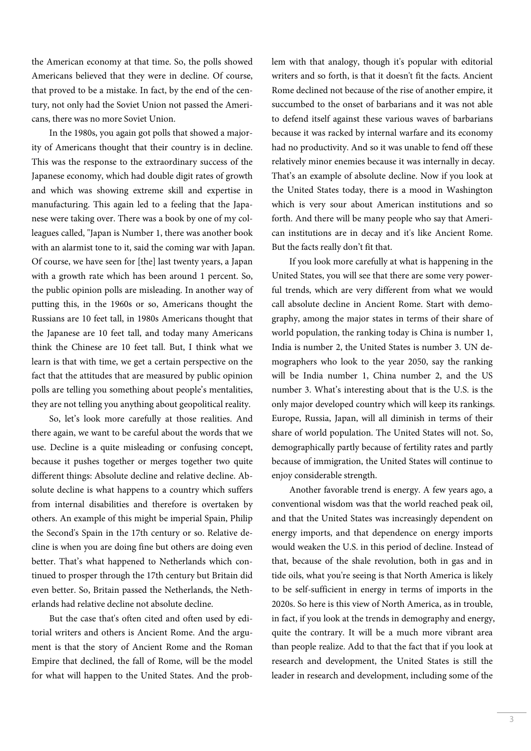the American economy at that time. So, the polls showed Americans believed that they were in decline. Of course, that proved to be a mistake. In fact, by the end of the century, not only had the Soviet Union not passed the Americans, there was no more Soviet Union.

In the 1980s, you again got polls that showed a majority of Americans thought that their country is in decline. This was the response to the extraordinary success of the Japanese economy, which had double digit rates of growth and which was showing extreme skill and expertise in manufacturing. This again led to a feeling that the Japanese were taking over. There was a book by one of my colleagues called, "Japan is Number 1, there was another book with an alarmist tone to it, said the coming war with Japan. Of course, we have seen for [the] last twenty years, a Japan with a growth rate which has been around 1 percent. So, the public opinion polls are misleading. In another way of putting this, in the 1960s or so, Americans thought the Russians are 10 feet tall, in 1980s Americans thought that the Japanese are 10 feet tall, and today many Americans think the Chinese are 10 feet tall. But, I think what we learn is that with time, we get a certain perspective on the fact that the attitudes that are measured by public opinion polls are telling you something about people's mentalities, they are not telling you anything about geopolitical reality.

So, let's look more carefully at those realities. And there again, we want to be careful about the words that we use. Decline is a quite misleading or confusing concept, because it pushes together or merges together two quite different things: Absolute decline and relative decline. Absolute decline is what happens to a country which suffers from internal disabilities and therefore is overtaken by others. An example of this might be imperial Spain, Philip the Second's Spain in the 17th century or so. Relative decline is when you are doing fine but others are doing even better. That's what happened to Netherlands which continued to prosper through the 17th century but Britain did even better. So, Britain passed the Netherlands, the Netherlands had relative decline not absolute decline.

But the case that's often cited and often used by editorial writers and others is Ancient Rome. And the argument is that the story of Ancient Rome and the Roman Empire that declined, the fall of Rome, will be the model for what will happen to the United States. And the problem with that analogy, though it's popular with editorial writers and so forth, is that it doesn't fit the facts. Ancient Rome declined not because of the rise of another empire, it succumbed to the onset of barbarians and it was not able to defend itself against these various waves of barbarians because it was racked by internal warfare and its economy had no productivity. And so it was unable to fend off these relatively minor enemies because it was internally in decay. That's an example of absolute decline. Now if you look at the United States today, there is a mood in Washington which is very sour about American institutions and so forth. And there will be many people who say that American institutions are in decay and it's like Ancient Rome. But the facts really don't fit that.

If you look more carefully at what is happening in the United States, you will see that there are some very powerful trends, which are very different from what we would call absolute decline in Ancient Rome. Start with demography, among the major states in terms of their share of world population, the ranking today is China is number 1, India is number 2, the United States is number 3. UN demographers who look to the year 2050, say the ranking will be India number 1, China number 2, and the US number 3. What's interesting about that is the U.S. is the only major developed country which will keep its rankings. Europe, Russia, Japan, will all diminish in terms of their share of world population. The United States will not. So, demographically partly because of fertility rates and partly because of immigration, the United States will continue to enjoy considerable strength.

Another favorable trend is energy. A few years ago, a conventional wisdom was that the world reached peak oil, and that the United States was increasingly dependent on energy imports, and that dependence on energy imports would weaken the U.S. in this period of decline. Instead of that, because of the shale revolution, both in gas and in tide oils, what you're seeing is that North America is likely to be self-sufficient in energy in terms of imports in the 2020s. So here is this view of North America, as in trouble, in fact, if you look at the trends in demography and energy, quite the contrary. It will be a much more vibrant area than people realize. Add to that the fact that if you look at research and development, the United States is still the leader in research and development, including some of the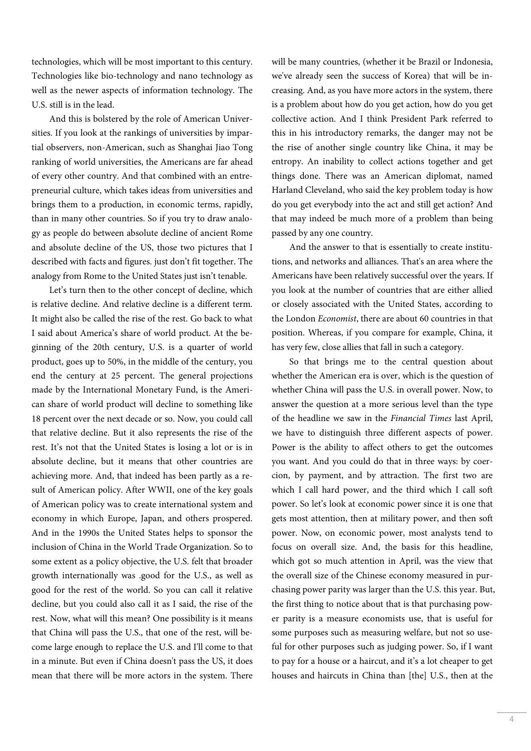technologies, which will be most important to this century. Technologies like bio-technology and nano technology as well as the newer aspects of information technology. The U.S. still is in the lead.

And this is bolstered by the role of American Universities. If you look at the rankings of universities by impartial observers, non-American, such as Shanghai Jiao Tong ranking of world universities, the Americans are far ahead of every other country. And that combined with an entrepreneurial culture, which takes ideas from universities and brings them to a production, in economic terms, rapidly, than in many other countries. So if you try to draw analogy as people do between absolute decline of ancient Rome and absolute decline of the US, those two pictures that I described with facts and figures. just don't fit together. The analogy from Rome to the United States just isn't tenable.

Let's turn then to the other concept of decline, which is relative decline. And relative decline is a different term. It might also be called the rise of the rest. Go back to what I said about America's share of world product. At the beginning of the 20th century, U.S. is a quarter of world product, goes up to 50%, in the middle of the century, you end the century at 25 percent. The general projections made by the International Monetary Fund, is the American share of world product will decline to something like 18 percent over the next decade or so. Now, you could call that relative decline. But it also represents the rise of the rest. It's not that the United States is losing a lot or is in absolute decline, but it means that other countries are achieving more. And, that indeed has been partly as a result of American policy. After WWII, one of the key goals of American policy was to create international system and economy in which Europe, Japan, and others prospered. And in the 1990s the United States helps to sponsor the inclusion of China in the World Trade Organization. So to some extent as a policy objective, the U.S. felt that broader growth internationally was .good for the U.S., as well as good for the rest of the world. So you can call it relative decline, but you could also call it as I said, the rise of the rest. Now, what will this mean? One possibility is it means that China will pass the U.S., that one of the rest, will become large enough to replace the U.S. and I'll come to that in a minute. But even if China doesn't pass the US, it does mean that there will be more actors in the system. There

will be many countries, (whether it be Brazil or Indonesia, we've already seen the success of Korea) that will be increasing. And, as you have more actors in the system, there is a problem about how do you get action, how do you get collective action. And I think President Park referred to this in his introductory remarks, the danger may not be the rise of another single country like China, it may be entropy. An inability to collect actions together and get things done. There was an American diplomat, named Harland Cleveland, who said the key problem today is how do you get everybody into the act and still get action? And that may indeed be much more of a problem than being passed by any one country.

And the answer to that is essentially to create institutions, and networks and alliances. That's an area where the Americans have been relatively successful over the years. If you look at the number of countries that are either allied or closely associated with the United States, according to the London *Economist*, there are about 60 countries in that position. Whereas, if you compare for example, China, it has very few, close allies that fall in such a category.

So that brings me to the central question about whether the American era is over, which is the question of whether China will pass the U.S. in overall power. Now, to answer the question at a more serious level than the type of the headline we saw in the *Financial Times* last April, we have to distinguish three different aspects of power. Power is the ability to affect others to get the outcomes you want. And you could do that in three ways: by coercion, by payment, and by attraction. The first two are which I call hard power, and the third which I call soft power. So let's look at economic power since it is one that gets most attention, then at military power, and then soft power. Now, on economic power, most analysts tend to focus on overall size. And, the basis for this headline, which got so much attention in April, was the view that the overall size of the Chinese economy measured in purchasing power parity was larger than the U.S. this year. But, the first thing to notice about that is that purchasing power parity is a measure economists use, that is useful for some purposes such as measuring welfare, but not so useful for other purposes such as judging power. So, if I want to pay for a house or a haircut, and it's a lot cheaper to get houses and haircuts in China than [the] U.S., then at the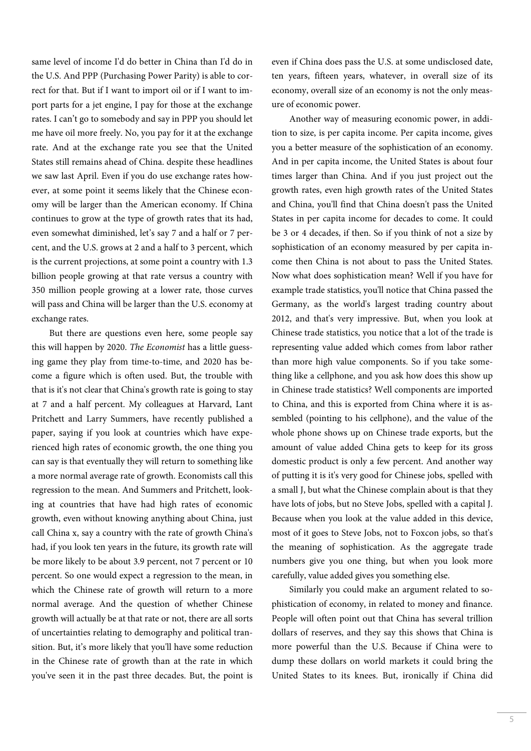same level of income I'd do better in China than I'd do in the U.S. And PPP (Purchasing Power Parity) is able to correct for that. But if I want to import oil or if I want to import parts for a jet engine, I pay for those at the exchange rates. I can't go to somebody and say in PPP you should let me have oil more freely. No, you pay for it at the exchange rate. And at the exchange rate you see that the United States still remains ahead of China. despite these headlines we saw last April. Even if you do use exchange rates however, at some point it seems likely that the Chinese economy will be larger than the American economy. If China continues to grow at the type of growth rates that its had, even somewhat diminished, let's say 7 and a half or 7 percent, and the U.S. grows at 2 and a half to 3 percent, which is the current projections, at some point a country with 1.3 billion people growing at that rate versus a country with 350 million people growing at a lower rate, those curves will pass and China will be larger than the U.S. economy at exchange rates.

But there are questions even here, some people say this will happen by 2020. *The Economist* has a little guessing game they play from time-to-time, and 2020 has become a figure which is often used. But, the trouble with that is it's not clear that China's growth rate is going to stay at 7 and a half percent. My colleagues at Harvard, Lant Pritchett and Larry Summers, have recently published a paper, saying if you look at countries which have experienced high rates of economic growth, the one thing you can say is that eventually they will return to something like a more normal average rate of growth. Economists call this regression to the mean. And Summers and Pritchett, looking at countries that have had high rates of economic growth, even without knowing anything about China, just call China x, say a country with the rate of growth China's had, if you look ten years in the future, its growth rate will be more likely to be about 3.9 percent, not 7 percent or 10 percent. So one would expect a regression to the mean, in which the Chinese rate of growth will return to a more normal average. And the question of whether Chinese growth will actually be at that rate or not, there are all sorts of uncertainties relating to demography and political transition. But, it's more likely that you'll have some reduction in the Chinese rate of growth than at the rate in which you've seen it in the past three decades. But, the point is

even if China does pass the U.S. at some undisclosed date, ten years, fifteen years, whatever, in overall size of its economy, overall size of an economy is not the only measure of economic power.

Another way of measuring economic power, in addition to size, is per capita income. Per capita income, gives you a better measure of the sophistication of an economy. And in per capita income, the United States is about four times larger than China. And if you just project out the growth rates, even high growth rates of the United States and China, you'll find that China doesn't pass the United States in per capita income for decades to come. It could be 3 or 4 decades, if then. So if you think of not a size by sophistication of an economy measured by per capita income then China is not about to pass the United States. Now what does sophistication mean? Well if you have for example trade statistics, you'll notice that China passed the Germany, as the world's largest trading country about 2012, and that's very impressive. But, when you look at Chinese trade statistics, you notice that a lot of the trade is representing value added which comes from labor rather than more high value components. So if you take something like a cellphone, and you ask how does this show up in Chinese trade statistics? Well components are imported to China, and this is exported from China where it is assembled (pointing to his cellphone), and the value of the whole phone shows up on Chinese trade exports, but the amount of value added China gets to keep for its gross domestic product is only a few percent. And another way of putting it is it's very good for Chinese jobs, spelled with a small J, but what the Chinese complain about is that they have lots of jobs, but no Steve Jobs, spelled with a capital J. Because when you look at the value added in this device, most of it goes to Steve Jobs, not to Foxcon jobs, so that's the meaning of sophistication. As the aggregate trade numbers give you one thing, but when you look more carefully, value added gives you something else.

Similarly you could make an argument related to sophistication of economy, in related to money and finance. People will often point out that China has several trillion dollars of reserves, and they say this shows that China is more powerful than the U.S. Because if China were to dump these dollars on world markets it could bring the United States to its knees. But, ironically if China did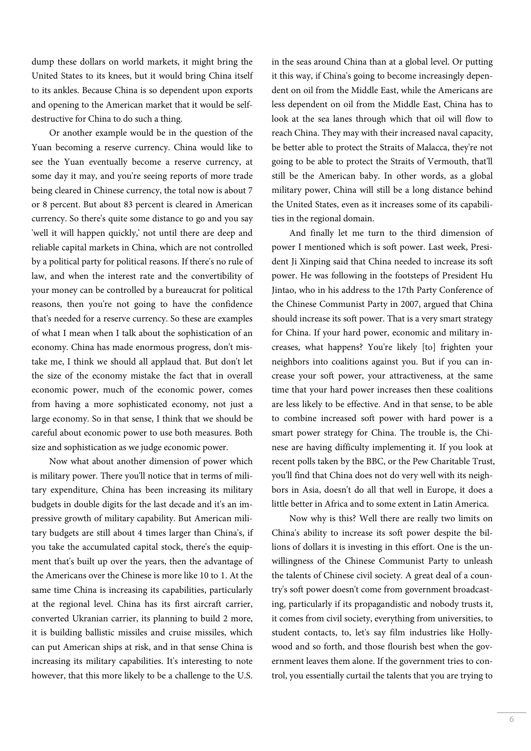dump these dollars on world markets, it might bring the United States to its knees, but it would bring China itself to its ankles. Because China is so dependent upon exports and opening to the American market that it would be selfdestructive for China to do such a thing.

Or another example would be in the question of the Yuan becoming a reserve currency. China would like to see the Yuan eventually become a reserve currency, at some day it may, and you're seeing reports of more trade being cleared in Chinese currency, the total now is about 7 or 8 percent. But about 83 percent is cleared in American currency. So there's quite some distance to go and you say 'well it will happen quickly,' not until there are deep and reliable capital markets in China, which are not controlled by a political party for political reasons. If there's no rule of law, and when the interest rate and the convertibility of your money can be controlled by a bureaucrat for political reasons, then you're not going to have the confidence that's needed for a reserve currency. So these are examples of what I mean when I talk about the sophistication of an economy. China has made enormous progress, don't mistake me, I think we should all applaud that. But don't let the size of the economy mistake the fact that in overall economic power, much of the economic power, comes from having a more sophisticated economy, not just a large economy. So in that sense, I think that we should be careful about economic power to use both measures. Both size and sophistication as we judge economic power.

Now what about another dimension of power which is military power. There you'll notice that in terms of military expenditure, China has been increasing its military budgets in double digits for the last decade and it's an impressive growth of military capability. But American military budgets are still about 4 times larger than China's, if you take the accumulated capital stock, there's the equipment that's built up over the years, then the advantage of the Americans over the Chinese is more like 10 to 1. At the same time China is increasing its capabilities, particularly at the regional level. China has its first aircraft carrier, converted Ukranian carrier, its planning to build 2 more, it is building ballistic missiles and cruise missiles, which can put American ships at risk, and in that sense China is increasing its military capabilities. It's interesting to note however, that this more likely to be a challenge to the U.S.

in the seas around China than at a global level. Or putting it this way, if China's going to become increasingly dependent on oil from the Middle East, while the Americans are less dependent on oil from the Middle East, China has to look at the sea lanes through which that oil will flow to reach China. They may with their increased naval capacity, be better able to protect the Straits of Malacca, they're not going to be able to protect the Straits of Vermouth, that'll still be the American baby. In other words, as a global military power, China will still be a long distance behind the United States, even as it increases some of its capabilities in the regional domain.

And finally let me turn to the third dimension of power I mentioned which is soft power. Last week, President Ji Xinping said that China needed to increase its soft power. He was following in the footsteps of President Hu Jintao, who in his address to the 17th Party Conference of the Chinese Communist Party in 2007, argued that China should increase its soft power. That is a very smart strategy for China. If your hard power, economic and military increases, what happens? You're likely [to] frighten your neighbors into coalitions against you. But if you can increase your soft power, your attractiveness, at the same time that your hard power increases then these coalitions are less likely to be effective. And in that sense, to be able to combine increased soft power with hard power is a smart power strategy for China. The trouble is, the Chinese are having difficulty implementing it. If you look at recent polls taken by the BBC, or the Pew Charitable Trust, you'll find that China does not do very well with its neighbors in Asia, doesn't do all that well in Europe, it does a little better in Africa and to some extent in Latin America.

Now why is this? Well there are really two limits on China's ability to increase its soft power despite the billions of dollars it is investing in this effort. One is the unwillingness of the Chinese Communist Party to unleash the talents of Chinese civil society. A great deal of a country's soft power doesn't come from government broadcasting, particularly if its propagandistic and nobody trusts it, it comes from civil society, everything from universities, to student contacts, to, let's say film industries like Hollywood and so forth, and those flourish best when the government leaves them alone. If the government tries to control, you essentially curtail the talents that you are trying to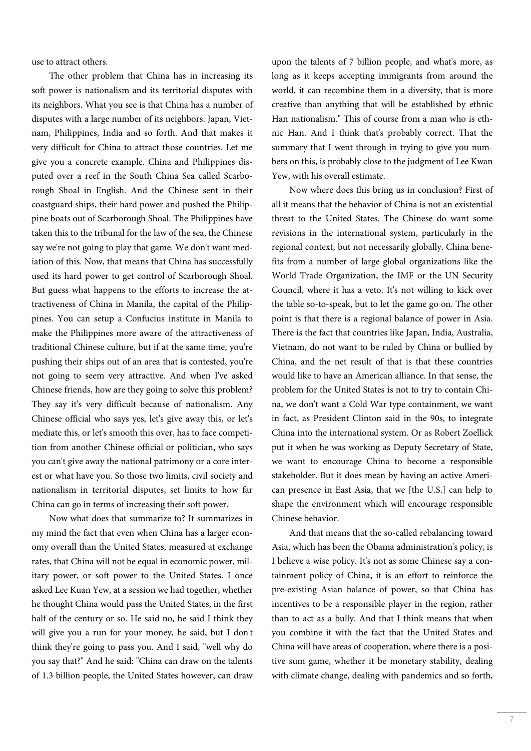use to attract others.

The other problem that China has in increasing its soft power is nationalism and its territorial disputes with its neighbors. What you see is that China has a number of disputes with a large number of its neighbors. Japan, Vietnam, Philippines, India and so forth. And that makes it very difficult for China to attract those countries. Let me give you a concrete example. China and Philippines disputed over a reef in the South China Sea called Scarborough Shoal in English. And the Chinese sent in their coastguard ships, their hard power and pushed the Philippine boats out of Scarborough Shoal. The Philippines have taken this to the tribunal for the law of the sea, the Chinese say we're not going to play that game. We don't want mediation of this. Now, that means that China has successfully used its hard power to get control of Scarborough Shoal. But guess what happens to the efforts to increase the attractiveness of China in Manila, the capital of the Philippines. You can setup a Confucius institute in Manila to make the Philippines more aware of the attractiveness of traditional Chinese culture, but if at the same time, you're pushing their ships out of an area that is contested, you're not going to seem very attractive. And when I've asked Chinese friends, how are they going to solve this problem? They say it's very difficult because of nationalism. Any Chinese official who says yes, let's give away this, or let's mediate this, or let's smooth this over, has to face competition from another Chinese official or politician, who says you can't give away the national patrimony or a core interest or what have you. So those two limits, civil society and nationalism in territorial disputes, set limits to how far China can go in terms of increasing their soft power.

Now what does that summarize to? It summarizes in my mind the fact that even when China has a larger economy overall than the United States, measured at exchange rates, that China will not be equal in economic power, military power, or soft power to the United States. I once asked Lee Kuan Yew, at a session we had together, whether he thought China would pass the United States, in the first half of the century or so. He said no, he said I think they will give you a run for your money, he said, but I don't think they're going to pass you. And I said, "well why do you say that?" And he said: "China can draw on the talents of 1.3 billion people, the United States however, can draw

upon the talents of 7 billion people, and what's more, as long as it keeps accepting immigrants from around the world, it can recombine them in a diversity, that is more creative than anything that will be established by ethnic Han nationalism." This of course from a man who is ethnic Han. And I think that's probably correct. That the summary that I went through in trying to give you numbers on this, is probably close to the judgment of Lee Kwan Yew, with his overall estimate.

Now where does this bring us in conclusion? First of all it means that the behavior of China is not an existential threat to the United States. The Chinese do want some revisions in the international system, particularly in the regional context, but not necessarily globally. China benefits from a number of large global organizations like the World Trade Organization, the IMF or the UN Security Council, where it has a veto. It's not willing to kick over the table so-to-speak, but to let the game go on. The other point is that there is a regional balance of power in Asia. There is the fact that countries like Japan, India, Australia, Vietnam, do not want to be ruled by China or bullied by China, and the net result of that is that these countries would like to have an American alliance. In that sense, the problem for the United States is not to try to contain China, we don't want a Cold War type containment, we want in fact, as President Clinton said in the 90s, to integrate China into the international system. Or as Robert Zoellick put it when he was working as Deputy Secretary of State, we want to encourage China to become a responsible stakeholder. But it does mean by having an active American presence in East Asia, that we [the U.S.] can help to shape the environment which will encourage responsible Chinese behavior.

And that means that the so-called rebalancing toward Asia, which has been the Obama administration's policy, is I believe a wise policy. It's not as some Chinese say a containment policy of China, it is an effort to reinforce the pre-existing Asian balance of power, so that China has incentives to be a responsible player in the region, rather than to act as a bully. And that I think means that when you combine it with the fact that the United States and China will have areas of cooperation, where there is a positive sum game, whether it be monetary stability, dealing with climate change, dealing with pandemics and so forth,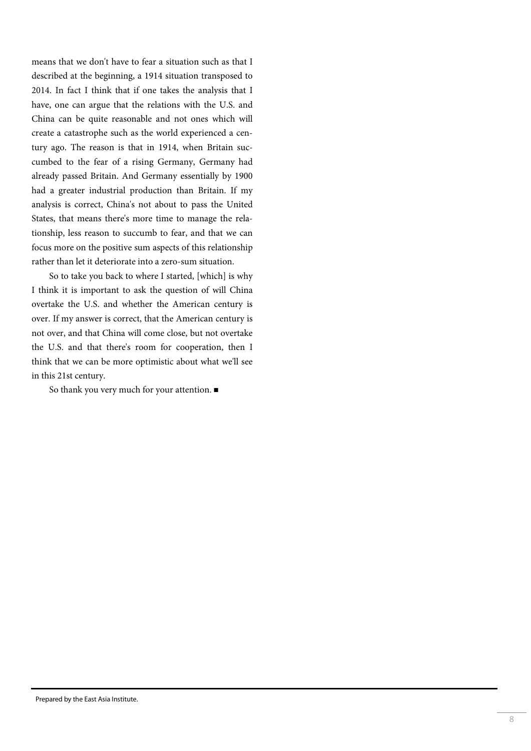means that we don't have to fear a situation such as that I described at the beginning, a 1914 situation transposed to 2014. In fact I think that if one takes the analysis that I have, one can argue that the relations with the U.S. and China can be quite reasonable and not ones which will create a catastrophe such as the world experienced a century ago. The reason is that in 1914, when Britain succumbed to the fear of a rising Germany, Germany had already passed Britain. And Germany essentially by 1900 had a greater industrial production than Britain. If my analysis is correct, China's not about to pass the United States, that means there's more time to manage the relationship, less reason to succumb to fear, and that we can focus more on the positive sum aspects of this relationship rather than let it deteriorate into a zero-sum situation.

So to take you back to where I started, [which] is why I think it is important to ask the question of will China overtake the U.S. and whether the American century is over. If my answer is correct, that the American century is not over, and that China will come close, but not overtake the U.S. and that there's room for cooperation, then I think that we can be more optimistic about what we'll see in this 21st century.

So thank you very much for your attention.■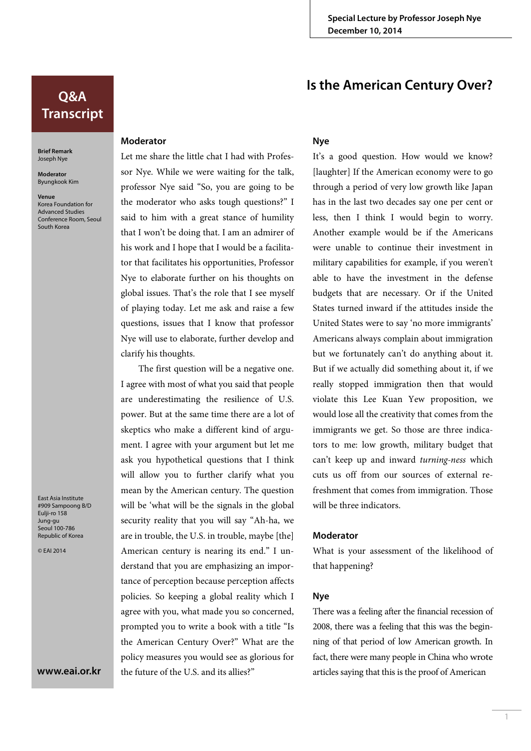# **Is the American Century Over?**

# **Q&A Transcript**

**Brief Remark** Joseph Nye

#### **Moderator** Byungkook Kim

**Venue** Korea Foundation for Advanced Studies Conference Room, Seoul South Korea

**Moderator**

Let me share the little chat I had with Professor Nye. While we were waiting for the talk, professor Nye said "So, you are going to be the moderator who asks tough questions?" I said to him with a great stance of humility that I won't be doing that. I am an admirer of his work and I hope that I would be a facilitator that facilitates his opportunities, Professor Nye to elaborate further on his thoughts on global issues. That's the role that I see myself of playing today. Let me ask and raise a few questions, issues that I know that professor Nye will use to elaborate, further develop and clarify his thoughts.

The first question will be a negative one. I agree with most of what you said that people are underestimating the resilience of U.S. power. But at the same time there are a lot of skeptics who make a different kind of argument. I agree with your argument but let me ask you hypothetical questions that I think will allow you to further clarify what you mean by the American century. The question will be 'what will be the signals in the global security reality that you will say "Ah-ha, we are in trouble, the U.S. in trouble, maybe [the] American century is nearing its end." I understand that you are emphasizing an importance of perception because perception affects policies. So keeping a global reality which I agree with you, what made you so concerned, prompted you to write a book with a title "Is the American Century Over?" What are the policy measures you would see as glorious for the future of the U.S. and its allies?"

# **Nye**

It's a good question. How would we know? [laughter] If the American economy were to go through a period of very low growth like Japan has in the last two decades say one per cent or less, then I think I would begin to worry. Another example would be if the Americans were unable to continue their investment in military capabilities for example, if you weren't able to have the investment in the defense budgets that are necessary. Or if the United States turned inward if the attitudes inside the United States were to say 'no more immigrants' Americans always complain about immigration but we fortunately can't do anything about it. But if we actually did something about it, if we really stopped immigration then that would violate this Lee Kuan Yew proposition, we would lose all the creativity that comes from the immigrants we get. So those are three indicators to me: low growth, military budget that can't keep up and inward *turning-ness* which cuts us off from our sources of external refreshment that comes from immigration. Those will be three indicators.

### **Moderator**

What is your assessment of the likelihood of that happening?

### **Nye**

There was a feeling after the financial recession of 2008, there was a feeling that this was the beginning of that period of low American growth. In fact, there were many people in China who wrote articles saying that this is the proof of American

East Asia Institute #909 Sampoong B/D Eulji-ro 158 Jung-gu Seoul 100-786 Republic of Korea

© EAI 2014

#### **www.eai.or.kr**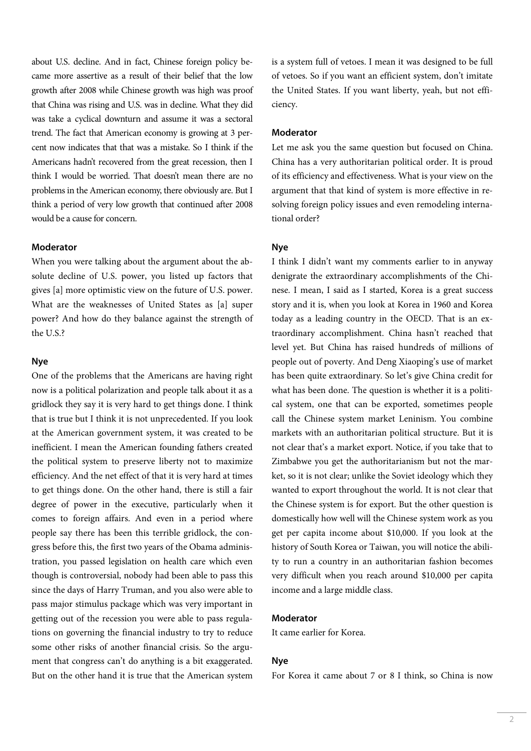about U.S. decline. And in fact, Chinese foreign policy became more assertive as a result of their belief that the low growth after 2008 while Chinese growth was high was proof that China was rising and U.S. was in decline. What they did was take a cyclical downturn and assume it was a sectoral trend. The fact that American economy is growing at 3 percent now indicates that that was a mistake. So I think if the Americans hadn't recovered from the great recession, then I think I would be worried. That doesn't mean there are no problems in the American economy, there obviously are. But I think a period of very low growth that continued after 2008 would be a cause for concern.

### **Moderator**

When you were talking about the argument about the absolute decline of U.S. power, you listed up factors that gives [a] more optimistic view on the future of U.S. power. What are the weaknesses of United States as [a] super power? And how do they balance against the strength of the U.S.?

### **Nye**

One of the problems that the Americans are having right now is a political polarization and people talk about it as a gridlock they say it is very hard to get things done. I think that is true but I think it is not unprecedented. If you look at the American government system, it was created to be inefficient. I mean the American founding fathers created the political system to preserve liberty not to maximize efficiency. And the net effect of that it is very hard at times to get things done. On the other hand, there is still a fair degree of power in the executive, particularly when it comes to foreign affairs. And even in a period where people say there has been this terrible gridlock, the congress before this, the first two years of the Obama administration, you passed legislation on health care which even though is controversial, nobody had been able to pass this since the days of Harry Truman, and you also were able to pass major stimulus package which was very important in getting out of the recession you were able to pass regulations on governing the financial industry to try to reduce some other risks of another financial crisis. So the argument that congress can't do anything is a bit exaggerated. But on the other hand it is true that the American system

is a system full of vetoes. I mean it was designed to be full of vetoes. So if you want an efficient system, don't imitate the United States. If you want liberty, yeah, but not efficiency.

# **Moderator**

Let me ask you the same question but focused on China. China has a very authoritarian political order. It is proud of its efficiency and effectiveness. What is your view on the argument that that kind of system is more effective in resolving foreign policy issues and even remodeling international order?

# **Nye**

I think I didn't want my comments earlier to in anyway denigrate the extraordinary accomplishments of the Chinese. I mean, I said as I started, Korea is a great success story and it is, when you look at Korea in 1960 and Korea today as a leading country in the OECD. That is an extraordinary accomplishment. China hasn't reached that level yet. But China has raised hundreds of millions of people out of poverty. And Deng Xiaoping's use of market has been quite extraordinary. So let's give China credit for what has been done. The question is whether it is a political system, one that can be exported, sometimes people call the Chinese system market Leninism. You combine markets with an authoritarian political structure. But it is not clear that's a market export. Notice, if you take that to Zimbabwe you get the authoritarianism but not the market, so it is not clear; unlike the Soviet ideology which they wanted to export throughout the world. It is not clear that the Chinese system is for export. But the other question is domestically how well will the Chinese system work as you get per capita income about \$10,000. If you look at the history of South Korea or Taiwan, you will notice the ability to run a country in an authoritarian fashion becomes very difficult when you reach around \$10,000 per capita income and a large middle class.

#### **Moderator**

It came earlier for Korea.

# **Nye**

For Korea it came about 7 or 8 I think, so China is now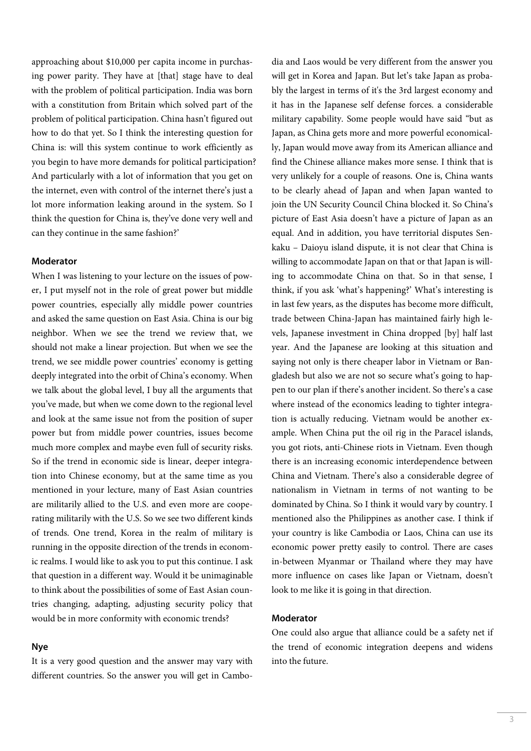approaching about \$10,000 per capita income in purchasing power parity. They have at [that] stage have to deal with the problem of political participation. India was born with a constitution from Britain which solved part of the problem of political participation. China hasn't figured out how to do that yet. So I think the interesting question for China is: will this system continue to work efficiently as you begin to have more demands for political participation? And particularly with a lot of information that you get on the internet, even with control of the internet there's just a lot more information leaking around in the system. So I think the question for China is, they've done very well and can they continue in the same fashion?'

# **Moderator**

When I was listening to your lecture on the issues of power, I put myself not in the role of great power but middle power countries, especially ally middle power countries and asked the same question on East Asia. China is our big neighbor. When we see the trend we review that, we should not make a linear projection. But when we see the trend, we see middle power countries' economy is getting deeply integrated into the orbit of China's economy. When we talk about the global level, I buy all the arguments that you've made, but when we come down to the regional level and look at the same issue not from the position of super power but from middle power countries, issues become much more complex and maybe even full of security risks. So if the trend in economic side is linear, deeper integration into Chinese economy, but at the same time as you mentioned in your lecture, many of East Asian countries are militarily allied to the U.S. and even more are cooperating militarily with the U.S. So we see two different kinds of trends. One trend, Korea in the realm of military is running in the opposite direction of the trends in economic realms. I would like to ask you to put this continue. I ask that question in a different way. Would it be unimaginable to think about the possibilities of some of East Asian countries changing, adapting, adjusting security policy that would be in more conformity with economic trends?

### **Nye**

It is a very good question and the answer may vary with different countries. So the answer you will get in Cambo-

dia and Laos would be very different from the answer you will get in Korea and Japan. But let's take Japan as probably the largest in terms of it's the 3rd largest economy and it has in the Japanese self defense forces. a considerable military capability. Some people would have said "but as Japan, as China gets more and more powerful economically, Japan would move away from its American alliance and find the Chinese alliance makes more sense. I think that is very unlikely for a couple of reasons. One is, China wants to be clearly ahead of Japan and when Japan wanted to join the UN Security Council China blocked it. So China's picture of East Asia doesn't have a picture of Japan as an equal. And in addition, you have territorial disputes Senkaku – Daioyu island dispute, it is not clear that China is willing to accommodate Japan on that or that Japan is willing to accommodate China on that. So in that sense, I think, if you ask 'what's happening?' What's interesting is in last few years, as the disputes has become more difficult, trade between China-Japan has maintained fairly high levels, Japanese investment in China dropped [by] half last year. And the Japanese are looking at this situation and saying not only is there cheaper labor in Vietnam or Bangladesh but also we are not so secure what's going to happen to our plan if there's another incident. So there's a case where instead of the economics leading to tighter integration is actually reducing. Vietnam would be another example. When China put the oil rig in the Paracel islands, you got riots, anti-Chinese riots in Vietnam. Even though there is an increasing economic interdependence between China and Vietnam. There's also a considerable degree of nationalism in Vietnam in terms of not wanting to be dominated by China. So I think it would vary by country. I mentioned also the Philippines as another case. I think if your country is like Cambodia or Laos, China can use its economic power pretty easily to control. There are cases in-between Myanmar or Thailand where they may have more influence on cases like Japan or Vietnam, doesn't look to me like it is going in that direction.

#### **Moderator**

One could also argue that alliance could be a safety net if the trend of economic integration deepens and widens into the future.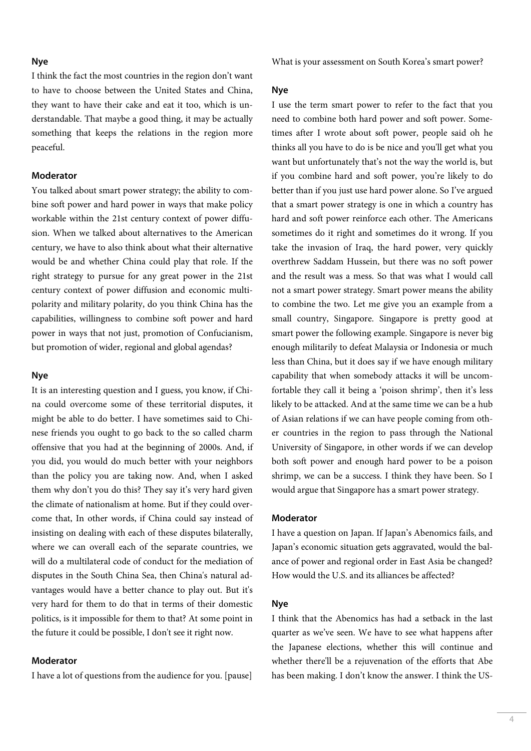#### **Nye**

I think the fact the most countries in the region don't want to have to choose between the United States and China, they want to have their cake and eat it too, which is understandable. That maybe a good thing, it may be actually something that keeps the relations in the region more peaceful.

# **Moderator**

You talked about smart power strategy; the ability to combine soft power and hard power in ways that make policy workable within the 21st century context of power diffusion. When we talked about alternatives to the American century, we have to also think about what their alternative would be and whether China could play that role. If the right strategy to pursue for any great power in the 21st century context of power diffusion and economic multipolarity and military polarity, do you think China has the capabilities, willingness to combine soft power and hard power in ways that not just, promotion of Confucianism, but promotion of wider, regional and global agendas?

# **Nye**

It is an interesting question and I guess, you know, if China could overcome some of these territorial disputes, it might be able to do better. I have sometimes said to Chinese friends you ought to go back to the so called charm offensive that you had at the beginning of 2000s. And, if you did, you would do much better with your neighbors than the policy you are taking now. And, when I asked them why don't you do this? They say it's very hard given the climate of nationalism at home. But if they could overcome that, In other words, if China could say instead of insisting on dealing with each of these disputes bilaterally, where we can overall each of the separate countries, we will do a multilateral code of conduct for the mediation of disputes in the South China Sea, then China's natural advantages would have a better chance to play out. But it's very hard for them to do that in terms of their domestic politics, is it impossible for them to that? At some point in the future it could be possible, I don't see it right now.

#### **Moderator**

I have a lot of questions from the audience for you. [pause]

What is your assessment on South Korea's smart power?

# **Nye**

I use the term smart power to refer to the fact that you need to combine both hard power and soft power. Sometimes after I wrote about soft power, people said oh he thinks all you have to do is be nice and you'll get what you want but unfortunately that's not the way the world is, but if you combine hard and soft power, you're likely to do better than if you just use hard power alone. So I've argued that a smart power strategy is one in which a country has hard and soft power reinforce each other. The Americans sometimes do it right and sometimes do it wrong. If you take the invasion of Iraq, the hard power, very quickly overthrew Saddam Hussein, but there was no soft power and the result was a mess. So that was what I would call not a smart power strategy. Smart power means the ability to combine the two. Let me give you an example from a small country, Singapore. Singapore is pretty good at smart power the following example. Singapore is never big enough militarily to defeat Malaysia or Indonesia or much less than China, but it does say if we have enough military capability that when somebody attacks it will be uncomfortable they call it being a 'poison shrimp', then it's less likely to be attacked. And at the same time we can be a hub of Asian relations if we can have people coming from other countries in the region to pass through the National University of Singapore, in other words if we can develop both soft power and enough hard power to be a poison shrimp, we can be a success. I think they have been. So I would argue that Singapore has a smart power strategy.

#### **Moderator**

I have a question on Japan. If Japan's Abenomics fails, and Japan's economic situation gets aggravated, would the balance of power and regional order in East Asia be changed? How would the U.S. and its alliances be affected?

# **Nye**

I think that the Abenomics has had a setback in the last quarter as we've seen. We have to see what happens after the Japanese elections, whether this will continue and whether there'll be a rejuvenation of the efforts that Abe has been making. I don't know the answer. I think the US-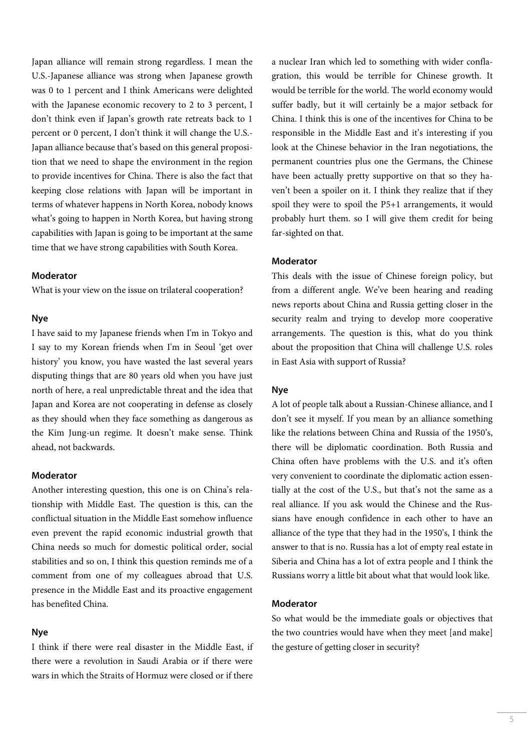Japan alliance will remain strong regardless. I mean the U.S.-Japanese alliance was strong when Japanese growth was 0 to 1 percent and I think Americans were delighted with the Japanese economic recovery to 2 to 3 percent, I don't think even if Japan's growth rate retreats back to 1 percent or 0 percent, I don't think it will change the U.S.- Japan alliance because that's based on this general proposition that we need to shape the environment in the region to provide incentives for China. There is also the fact that keeping close relations with Japan will be important in terms of whatever happens in North Korea, nobody knows what's going to happen in North Korea, but having strong capabilities with Japan is going to be important at the same time that we have strong capabilities with South Korea.

#### **Moderator**

What is your view on the issue on trilateral cooperation?

#### **Nye**

I have said to my Japanese friends when I'm in Tokyo and I say to my Korean friends when I'm in Seoul 'get over history' you know, you have wasted the last several years disputing things that are 80 years old when you have just north of here, a real unpredictable threat and the idea that Japan and Korea are not cooperating in defense as closely as they should when they face something as dangerous as the Kim Jung-un regime. It doesn't make sense. Think ahead, not backwards.

# **Moderator**

Another interesting question, this one is on China's relationship with Middle East. The question is this, can the conflictual situation in the Middle East somehow influence even prevent the rapid economic industrial growth that China needs so much for domestic political order, social stabilities and so on, I think this question reminds me of a comment from one of my colleagues abroad that U.S. presence in the Middle East and its proactive engagement has benefited China.

#### **Nye**

I think if there were real disaster in the Middle East, if there were a revolution in Saudi Arabia or if there were wars in which the Straits of Hormuz were closed or if there

a nuclear Iran which led to something with wider conflagration, this would be terrible for Chinese growth. It would be terrible for the world. The world economy would suffer badly, but it will certainly be a major setback for China. I think this is one of the incentives for China to be responsible in the Middle East and it's interesting if you look at the Chinese behavior in the Iran negotiations, the permanent countries plus one the Germans, the Chinese have been actually pretty supportive on that so they haven't been a spoiler on it. I think they realize that if they spoil they were to spoil the P5+1 arrangements, it would probably hurt them. so I will give them credit for being far-sighted on that.

# **Moderator**

This deals with the issue of Chinese foreign policy, but from a different angle. We've been hearing and reading news reports about China and Russia getting closer in the security realm and trying to develop more cooperative arrangements. The question is this, what do you think about the proposition that China will challenge U.S. roles in East Asia with support of Russia?

#### **Nye**

A lot of people talk about a Russian-Chinese alliance, and I don't see it myself. If you mean by an alliance something like the relations between China and Russia of the 1950's, there will be diplomatic coordination. Both Russia and China often have problems with the U.S. and it's often very convenient to coordinate the diplomatic action essentially at the cost of the U.S., but that's not the same as a real alliance. If you ask would the Chinese and the Russians have enough confidence in each other to have an alliance of the type that they had in the 1950's, I think the answer to that is no. Russia has a lot of empty real estate in Siberia and China has a lot of extra people and I think the Russians worry a little bit about what that would look like.

# **Moderator**

So what would be the immediate goals or objectives that the two countries would have when they meet [and make] the gesture of getting closer in security?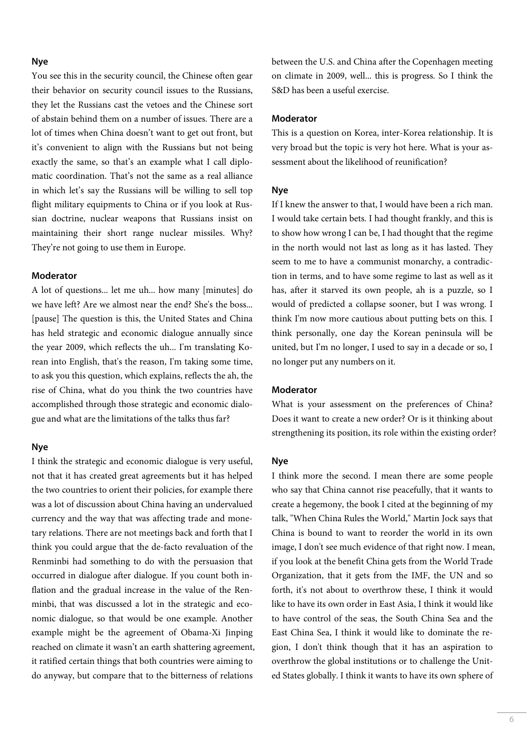#### **Nye**

You see this in the security council, the Chinese often gear their behavior on security council issues to the Russians, they let the Russians cast the vetoes and the Chinese sort of abstain behind them on a number of issues. There are a lot of times when China doesn't want to get out front, but it's convenient to align with the Russians but not being exactly the same, so that's an example what I call diplomatic coordination. That's not the same as a real alliance in which let's say the Russians will be willing to sell top flight military equipments to China or if you look at Russian doctrine, nuclear weapons that Russians insist on maintaining their short range nuclear missiles. Why? They're not going to use them in Europe.

#### **Moderator**

A lot of questions... let me uh... how many [minutes] do we have left? Are we almost near the end? She's the boss... [pause] The question is this, the United States and China has held strategic and economic dialogue annually since the year 2009, which reflects the uh... I'm translating Korean into English, that's the reason, I'm taking some time, to ask you this question, which explains, reflects the ah, the rise of China, what do you think the two countries have accomplished through those strategic and economic dialogue and what are the limitations of the talks thus far?

#### **Nye**

I think the strategic and economic dialogue is very useful, not that it has created great agreements but it has helped the two countries to orient their policies, for example there was a lot of discussion about China having an undervalued currency and the way that was affecting trade and monetary relations. There are not meetings back and forth that I think you could argue that the de-facto revaluation of the Renminbi had something to do with the persuasion that occurred in dialogue after dialogue. If you count both inflation and the gradual increase in the value of the Renminbi, that was discussed a lot in the strategic and economic dialogue, so that would be one example. Another example might be the agreement of Obama-Xi Jinping reached on climate it wasn't an earth shattering agreement, it ratified certain things that both countries were aiming to do anyway, but compare that to the bitterness of relations

between the U.S. and China after the Copenhagen meeting on climate in 2009, well... this is progress. So I think the S&D has been a useful exercise.

#### **Moderator**

This is a question on Korea, inter-Korea relationship. It is very broad but the topic is very hot here. What is your assessment about the likelihood of reunification?

# **Nye**

If I knew the answer to that, I would have been a rich man. I would take certain bets. I had thought frankly, and this is to show how wrong I can be, I had thought that the regime in the north would not last as long as it has lasted. They seem to me to have a communist monarchy, a contradiction in terms, and to have some regime to last as well as it has, after it starved its own people, ah is a puzzle, so I would of predicted a collapse sooner, but I was wrong. I think I'm now more cautious about putting bets on this. I think personally, one day the Korean peninsula will be united, but I'm no longer, I used to say in a decade or so, I no longer put any numbers on it.

# **Moderator**

What is your assessment on the preferences of China? Does it want to create a new order? Or is it thinking about strengthening its position, its role within the existing order?

#### **Nye**

I think more the second. I mean there are some people who say that China cannot rise peacefully, that it wants to create a hegemony, the book I cited at the beginning of my talk, "When China Rules the World," Martin Jock says that China is bound to want to reorder the world in its own image, I don't see much evidence of that right now. I mean, if you look at the benefit China gets from the World Trade Organization, that it gets from the IMF, the UN and so forth, it's not about to overthrow these, I think it would like to have its own order in East Asia, I think it would like to have control of the seas, the South China Sea and the East China Sea, I think it would like to dominate the region, I don't think though that it has an aspiration to overthrow the global institutions or to challenge the United States globally. I think it wants to have its own sphere of